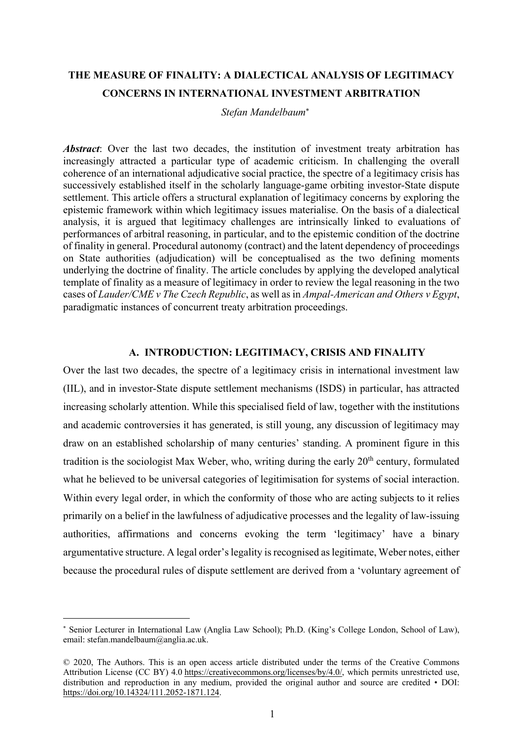# **THE MEASURE OF FINALITY: A DIALECTICAL ANALYSIS OF LEGITIMACY CONCERNS IN INTERNATIONAL INVESTMENT ARBITRATION**

*Stefan Mandelbaum*\*

*Abstract*: Over the last two decades, the institution of investment treaty arbitration has increasingly attracted a particular type of academic criticism. In challenging the overall coherence of an international adjudicative social practice, the spectre of a legitimacy crisis has successively established itself in the scholarly language-game orbiting investor-State dispute settlement. This article offers a structural explanation of legitimacy concerns by exploring the epistemic framework within which legitimacy issues materialise. On the basis of a dialectical analysis, it is argued that legitimacy challenges are intrinsically linked to evaluations of performances of arbitral reasoning, in particular, and to the epistemic condition of the doctrine of finality in general. Procedural autonomy (contract) and the latent dependency of proceedings on State authorities (adjudication) will be conceptualised as the two defining moments underlying the doctrine of finality. The article concludes by applying the developed analytical template of finality as a measure of legitimacy in order to review the legal reasoning in the two cases of *Lauder/CME v The Czech Republic*, as well as in *Ampal-American and Others v Egypt*, paradigmatic instances of concurrent treaty arbitration proceedings.

#### **A. INTRODUCTION: LEGITIMACY, CRISIS AND FINALITY**

Over the last two decades, the spectre of a legitimacy crisis in international investment law (IIL), and in investor-State dispute settlement mechanisms (ISDS) in particular, has attracted increasing scholarly attention. While this specialised field of law, together with the institutions and academic controversies it has generated, is still young, any discussion of legitimacy may draw on an established scholarship of many centuries' standing. A prominent figure in this tradition is the sociologist Max Weber, who, writing during the early  $20<sup>th</sup>$  century, formulated what he believed to be universal categories of legitimisation for systems of social interaction. Within every legal order, in which the conformity of those who are acting subjects to it relies primarily on a belief in the lawfulness of adjudicative processes and the legality of law-issuing authorities, affirmations and concerns evoking the term 'legitimacy' have a binary argumentative structure. A legal order's legality is recognised as legitimate, Weber notes, either because the procedural rules of dispute settlement are derived from a 'voluntary agreement of

<sup>\*</sup> Senior Lecturer in International Law (Anglia Law School); Ph.D. (King's College London, School of Law), email: stefan.mandelbaum@anglia.ac.uk.

<sup>©</sup> 2020, The Authors. This is an open access article distributed under the terms of the Creative Commons Attribution License (CC BY) 4.0 https://creativecommons.org/licenses/by/4.0/, which permits unrestricted use, distribution and reproduction in any medium, provided the original author and source are credited • DOI: https://doi.org/10.14324/111.2052-1871.124.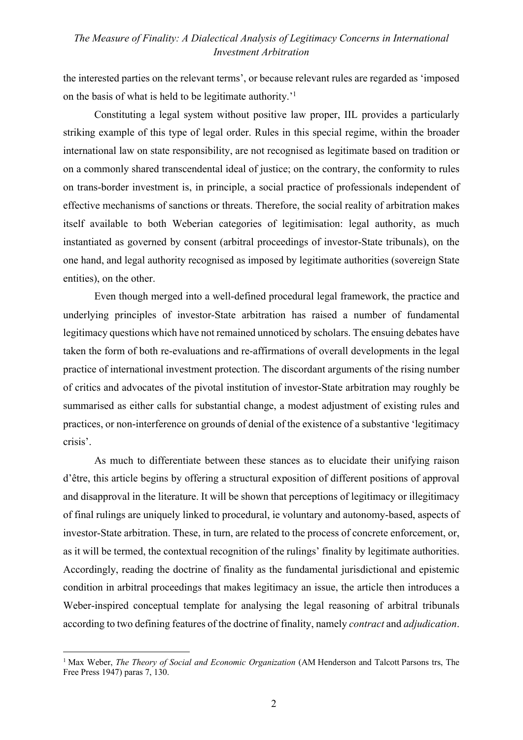the interested parties on the relevant terms', or because relevant rules are regarded as 'imposed on the basis of what is held to be legitimate authority.'1

Constituting a legal system without positive law proper, IIL provides a particularly striking example of this type of legal order. Rules in this special regime, within the broader international law on state responsibility, are not recognised as legitimate based on tradition or on a commonly shared transcendental ideal of justice; on the contrary, the conformity to rules on trans-border investment is, in principle, a social practice of professionals independent of effective mechanisms of sanctions or threats. Therefore, the social reality of arbitration makes itself available to both Weberian categories of legitimisation: legal authority, as much instantiated as governed by consent (arbitral proceedings of investor-State tribunals), on the one hand, and legal authority recognised as imposed by legitimate authorities (sovereign State entities), on the other.

Even though merged into a well-defined procedural legal framework, the practice and underlying principles of investor-State arbitration has raised a number of fundamental legitimacy questions which have not remained unnoticed by scholars. The ensuing debates have taken the form of both re-evaluations and re-affirmations of overall developments in the legal practice of international investment protection. The discordant arguments of the rising number of critics and advocates of the pivotal institution of investor-State arbitration may roughly be summarised as either calls for substantial change, a modest adjustment of existing rules and practices, or non-interference on grounds of denial of the existence of a substantive 'legitimacy crisis'.

As much to differentiate between these stances as to elucidate their unifying raison d'être, this article begins by offering a structural exposition of different positions of approval and disapproval in the literature. It will be shown that perceptions of legitimacy or illegitimacy of final rulings are uniquely linked to procedural, ie voluntary and autonomy-based, aspects of investor-State arbitration. These, in turn, are related to the process of concrete enforcement, or, as it will be termed, the contextual recognition of the rulings' finality by legitimate authorities. Accordingly, reading the doctrine of finality as the fundamental jurisdictional and epistemic condition in arbitral proceedings that makes legitimacy an issue, the article then introduces a Weber-inspired conceptual template for analysing the legal reasoning of arbitral tribunals according to two defining features of the doctrine of finality, namely *contract* and *adjudication*.

<sup>1</sup> Max Weber, *The Theory of Social and Economic Organization* (AM Henderson and Talcott Parsons trs, The Free Press 1947) paras 7, 130.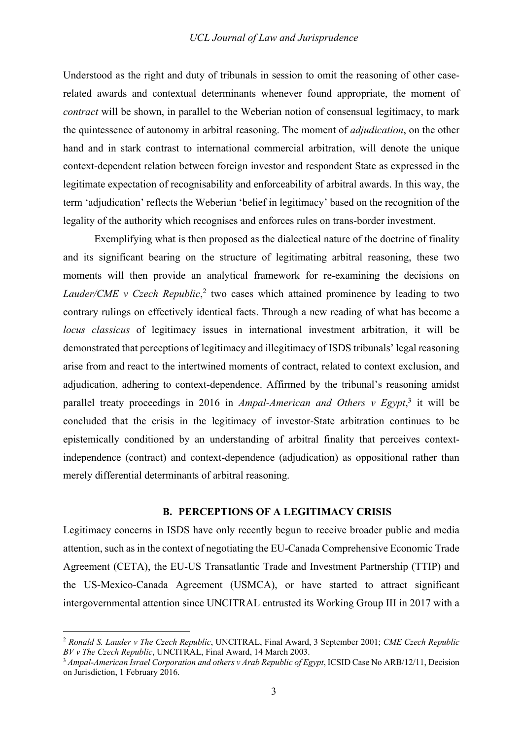Understood as the right and duty of tribunals in session to omit the reasoning of other caserelated awards and contextual determinants whenever found appropriate, the moment of *contract* will be shown, in parallel to the Weberian notion of consensual legitimacy, to mark the quintessence of autonomy in arbitral reasoning. The moment of *adjudication*, on the other hand and in stark contrast to international commercial arbitration, will denote the unique context-dependent relation between foreign investor and respondent State as expressed in the legitimate expectation of recognisability and enforceability of arbitral awards. In this way, the term 'adjudication' reflects the Weberian 'belief in legitimacy' based on the recognition of the legality of the authority which recognises and enforces rules on trans-border investment.

Exemplifying what is then proposed as the dialectical nature of the doctrine of finality and its significant bearing on the structure of legitimating arbitral reasoning, these two moments will then provide an analytical framework for re-examining the decisions on Lauder/CME v Czech Republic,<sup>2</sup> two cases which attained prominence by leading to two contrary rulings on effectively identical facts. Through a new reading of what has become a *locus classicus* of legitimacy issues in international investment arbitration, it will be demonstrated that perceptions of legitimacy and illegitimacy of ISDS tribunals' legal reasoning arise from and react to the intertwined moments of contract, related to context exclusion, and adjudication, adhering to context-dependence. Affirmed by the tribunal's reasoning amidst parallel treaty proceedings in 2016 in *Ampal-American and Others v Egypt*, <sup>3</sup> it will be concluded that the crisis in the legitimacy of investor-State arbitration continues to be epistemically conditioned by an understanding of arbitral finality that perceives contextindependence (contract) and context-dependence (adjudication) as oppositional rather than merely differential determinants of arbitral reasoning.

### **B. PERCEPTIONS OF A LEGITIMACY CRISIS**

Legitimacy concerns in ISDS have only recently begun to receive broader public and media attention, such as in the context of negotiating the EU-Canada Comprehensive Economic Trade Agreement (CETA), the EU-US Transatlantic Trade and Investment Partnership (TTIP) and the US-Mexico-Canada Agreement (USMCA), or have started to attract significant intergovernmental attention since UNCITRAL entrusted its Working Group III in 2017 with a

<sup>2</sup> *Ronald S. Lauder v The Czech Republic*, UNCITRAL, Final Award, 3 September 2001; *CME Czech Republic BV v The Czech Republic*, UNCITRAL, Final Award, 14 March 2003.

<sup>&</sup>lt;sup>3</sup> Ampal-American Israel Corporation and others v Arab Republic of Egypt, ICSID Case No ARB/12/11, Decision on Jurisdiction, 1 February 2016.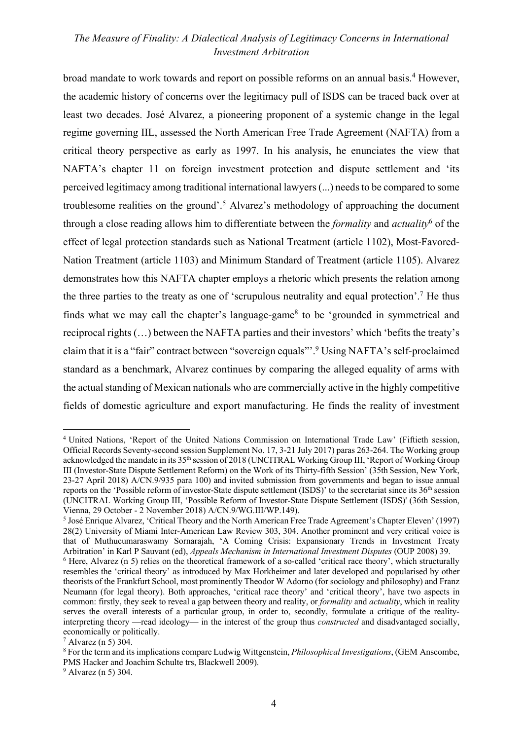broad mandate to work towards and report on possible reforms on an annual basis.4 However, the academic history of concerns over the legitimacy pull of ISDS can be traced back over at least two decades. José Alvarez, a pioneering proponent of a systemic change in the legal regime governing IIL, assessed the North American Free Trade Agreement (NAFTA) from a critical theory perspective as early as 1997. In his analysis, he enunciates the view that NAFTA's chapter 11 on foreign investment protection and dispute settlement and 'its perceived legitimacy among traditional international lawyers (...) needs to be compared to some troublesome realities on the ground'.<sup>5</sup> Alvarez's methodology of approaching the document through a close reading allows him to differentiate between the *formality* and *actuality*<sup>6</sup> of the effect of legal protection standards such as National Treatment (article 1102), Most-Favored-Nation Treatment (article 1103) and Minimum Standard of Treatment (article 1105). Alvarez demonstrates how this NAFTA chapter employs a rhetoric which presents the relation among the three parties to the treaty as one of 'scrupulous neutrality and equal protection'.7 He thus finds what we may call the chapter's language-game<sup>8</sup> to be 'grounded in symmetrical and reciprocal rights (…) between the NAFTA parties and their investors' which 'befits the treaty's claim that it is a "fair" contract between "sovereign equals"'.9 Using NAFTA's self-proclaimed standard as a benchmark, Alvarez continues by comparing the alleged equality of arms with the actual standing of Mexican nationals who are commercially active in the highly competitive fields of domestic agriculture and export manufacturing. He finds the reality of investment

<sup>4</sup> United Nations, 'Report of the United Nations Commission on International Trade Law' (Fiftieth session, Official Records Seventy-second session Supplement No. 17, 3-21 July 2017) paras 263-264. The Working group acknowledged the mandate in its 35<sup>th</sup> session of 2018 (UNCITRAL Working Group III, 'Report of Working Group III (Investor-State Dispute Settlement Reform) on the Work of its Thirty-fifth Session' (35th Session, New York, 23-27 April 2018) A/CN.9/935 para 100) and invited submission from governments and began to issue annual reports on the 'Possible reform of investor-State dispute settlement (ISDS)' to the secretariat since its 36th session (UNCITRAL Working Group III, 'Possible Reform of Investor-State Dispute Settlement (ISDS)' (36th Session, Vienna, 29 October - 2 November 2018) A/CN.9/WG.III/WP.149).

<sup>5</sup> José Enrique Alvarez, 'Critical Theory and the North American Free Trade Agreement's Chapter Eleven' (1997) 28(2) University of Miami Inter-American Law Review 303, 304. Another prominent and very critical voice is that of Muthucumaraswamy Sornarajah, 'A Coming Crisis: Expansionary Trends in Investment Treaty

Arbitration' in Karl P Sauvant (ed), *Appeals Mechanism in International Investment Disputes* (OUP 2008) 39.<br><sup>6</sup> Here, Alvarez (n 5) relies on the theoretical framework of a so-called 'critical race theory', which structur resembles the 'critical theory' as introduced by Max Horkheimer and later developed and popularised by other theorists of the Frankfurt School, most prominently Theodor W Adorno (for sociology and philosophy) and Franz Neumann (for legal theory). Both approaches, 'critical race theory' and 'critical theory', have two aspects in common: firstly, they seek to reveal a gap between theory and reality, or *formality* and *actuality*, which in reality serves the overall interests of a particular group, in order to, secondly, formulate a critique of the realityinterpreting theory —read ideology— in the interest of the group thus *constructed* and disadvantaged socially, economically or politically.

 $^7$  Alvarez (n 5) 304.

<sup>8</sup> For the term and its implications compare Ludwig Wittgenstein, *Philosophical Investigations*, (GEM Anscombe, PMS Hacker and Joachim Schulte trs, Blackwell 2009). 9 Alvarez (n 5) 304.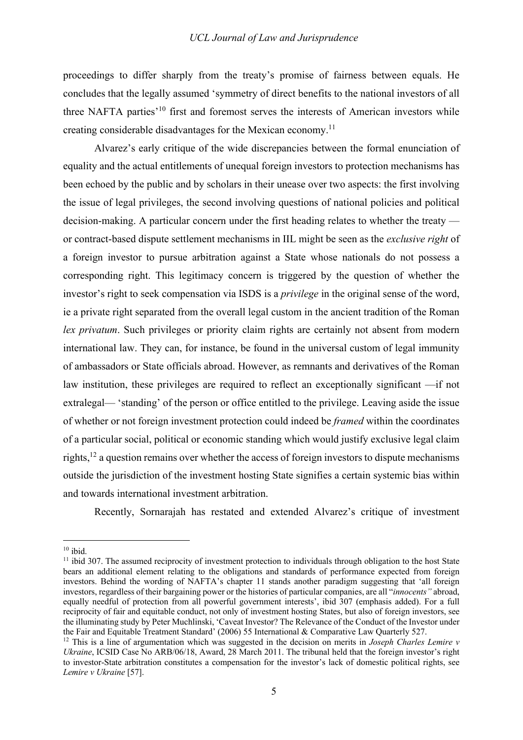proceedings to differ sharply from the treaty's promise of fairness between equals. He concludes that the legally assumed 'symmetry of direct benefits to the national investors of all three NAFTA parties'10 first and foremost serves the interests of American investors while creating considerable disadvantages for the Mexican economy.11

Alvarez's early critique of the wide discrepancies between the formal enunciation of equality and the actual entitlements of unequal foreign investors to protection mechanisms has been echoed by the public and by scholars in their unease over two aspects: the first involving the issue of legal privileges, the second involving questions of national policies and political decision-making. A particular concern under the first heading relates to whether the treaty or contract-based dispute settlement mechanisms in IIL might be seen as the *exclusive right* of a foreign investor to pursue arbitration against a State whose nationals do not possess a corresponding right. This legitimacy concern is triggered by the question of whether the investor's right to seek compensation via ISDS is a *privilege* in the original sense of the word, ie a private right separated from the overall legal custom in the ancient tradition of the Roman *lex privatum*. Such privileges or priority claim rights are certainly not absent from modern international law. They can, for instance, be found in the universal custom of legal immunity of ambassadors or State officials abroad. However, as remnants and derivatives of the Roman law institution, these privileges are required to reflect an exceptionally significant —if not extralegal— 'standing' of the person or office entitled to the privilege. Leaving aside the issue of whether or not foreign investment protection could indeed be *framed* within the coordinates of a particular social, political or economic standing which would justify exclusive legal claim rights,  $12$  a question remains over whether the access of foreign investors to dispute mechanisms outside the jurisdiction of the investment hosting State signifies a certain systemic bias within and towards international investment arbitration.

Recently, Sornarajah has restated and extended Alvarez's critique of investment

 $10$  ibid.

<sup>&</sup>lt;sup>11</sup> ibid 307. The assumed reciprocity of investment protection to individuals through obligation to the host State bears an additional element relating to the obligations and standards of performance expected from foreign investors. Behind the wording of NAFTA's chapter 11 stands another paradigm suggesting that 'all foreign investors, regardless of their bargaining power or the histories of particular companies, are all "*innocents"* abroad, equally needful of protection from all powerful government interests', ibid 307 (emphasis added). For a full reciprocity of fair and equitable conduct, not only of investment hosting States, but also of foreign investors, see the illuminating study by Peter Muchlinski, 'Caveat Investor? The Relevance of the Conduct of the Investor under<br>the Fair and Equitable Treatment Standard' (2006) 55 International & Comparative Law Quarterly 527.

<sup>&</sup>lt;sup>12</sup> This is a line of argumentation which was suggested in the decision on merits in *Joseph Charles Lemire v Ukraine*, ICSID Case No ARB/06/18, Award, 28 March 2011. The tribunal held that the foreign investor's right to investor-State arbitration constitutes a compensation for the investor's lack of domestic political rights, see *Lemire v Ukraine* [57].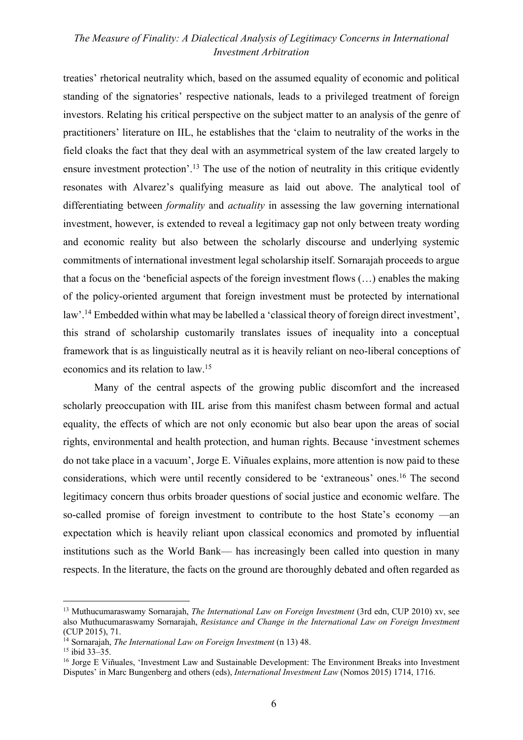treaties' rhetorical neutrality which, based on the assumed equality of economic and political standing of the signatories' respective nationals, leads to a privileged treatment of foreign investors. Relating his critical perspective on the subject matter to an analysis of the genre of practitioners' literature on IIL, he establishes that the 'claim to neutrality of the works in the field cloaks the fact that they deal with an asymmetrical system of the law created largely to ensure investment protection'.<sup>13</sup> The use of the notion of neutrality in this critique evidently resonates with Alvarez's qualifying measure as laid out above. The analytical tool of differentiating between *formality* and *actuality* in assessing the law governing international investment, however, is extended to reveal a legitimacy gap not only between treaty wording and economic reality but also between the scholarly discourse and underlying systemic commitments of international investment legal scholarship itself. Sornarajah proceeds to argue that a focus on the 'beneficial aspects of the foreign investment flows (…) enables the making of the policy-oriented argument that foreign investment must be protected by international law'.14 Embedded within what may be labelled a 'classical theory of foreign direct investment', this strand of scholarship customarily translates issues of inequality into a conceptual framework that is as linguistically neutral as it is heavily reliant on neo-liberal conceptions of economics and its relation to law.15

Many of the central aspects of the growing public discomfort and the increased scholarly preoccupation with IIL arise from this manifest chasm between formal and actual equality, the effects of which are not only economic but also bear upon the areas of social rights, environmental and health protection, and human rights. Because 'investment schemes do not take place in a vacuum', Jorge E. Viñuales explains, more attention is now paid to these considerations, which were until recently considered to be 'extraneous' ones.16 The second legitimacy concern thus orbits broader questions of social justice and economic welfare. The so-called promise of foreign investment to contribute to the host State's economy —an expectation which is heavily reliant upon classical economics and promoted by influential institutions such as the World Bank— has increasingly been called into question in many respects. In the literature, the facts on the ground are thoroughly debated and often regarded as

<sup>13</sup> Muthucumaraswamy Sornarajah, *The International Law on Foreign Investment* (3rd edn, CUP 2010) xv, see also Muthucumaraswamy Sornarajah, *Resistance and Change in the International Law on Foreign Investment* (CUP 2015), 71.

<sup>14</sup> Sornarajah, *The International Law on Foreign Investment* (n 13) 48.

<sup>&</sup>lt;sup>16</sup> Jorge E Viñuales, 'Investment Law and Sustainable Development: The Environment Breaks into Investment Disputes' in Marc Bungenberg and others (eds), *International Investment Law* (Nomos 2015) 1714, 1716.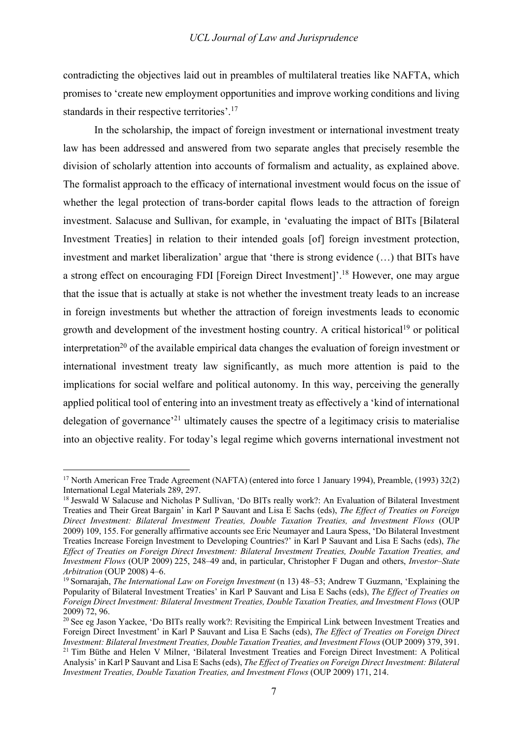contradicting the objectives laid out in preambles of multilateral treaties like NAFTA, which promises to 'create new employment opportunities and improve working conditions and living standards in their respective territories'.<sup>17</sup>

In the scholarship, the impact of foreign investment or international investment treaty law has been addressed and answered from two separate angles that precisely resemble the division of scholarly attention into accounts of formalism and actuality, as explained above. The formalist approach to the efficacy of international investment would focus on the issue of whether the legal protection of trans-border capital flows leads to the attraction of foreign investment. Salacuse and Sullivan, for example, in 'evaluating the impact of BITs [Bilateral Investment Treaties] in relation to their intended goals [of] foreign investment protection, investment and market liberalization' argue that 'there is strong evidence (…) that BITs have a strong effect on encouraging FDI [Foreign Direct Investment]'.18 However, one may argue that the issue that is actually at stake is not whether the investment treaty leads to an increase in foreign investments but whether the attraction of foreign investments leads to economic growth and development of the investment hosting country. A critical historical<sup>19</sup> or political interpretation<sup>20</sup> of the available empirical data changes the evaluation of foreign investment or international investment treaty law significantly, as much more attention is paid to the implications for social welfare and political autonomy. In this way, perceiving the generally applied political tool of entering into an investment treaty as effectively a 'kind of international delegation of governance'21 ultimately causes the spectre of a legitimacy crisis to materialise into an objective reality. For today's legal regime which governs international investment not

<sup>&</sup>lt;sup>17</sup> North American Free Trade Agreement (NAFTA) (entered into force 1 January 1994), Preamble, (1993) 32(2) International Legal Materials 289, 297.

<sup>&</sup>lt;sup>18</sup> Jeswald W Salacuse and Nicholas P Sullivan, 'Do BITs really work?: An Evaluation of Bilateral Investment Treaties and Their Great Bargain' in Karl P Sauvant and Lisa E Sachs (eds), *The Effect of Treaties on Foreign Direct Investment: Bilateral Investment Treaties, Double Taxation Treaties, and Investment Flows* (OUP 2009) 109, 155. For generally affirmative accounts see Eric Neumayer and Laura Spess, 'Do Bilateral Investment Treaties Increase Foreign Investment to Developing Countries?' in Karl P Sauvant and Lisa E Sachs (eds), *The Effect of Treaties on Foreign Direct Investment: Bilateral Investment Treaties, Double Taxation Treaties, and Investment Flows* (OUP 2009) 225, 248–49 and, in particular, Christopher F Dugan and others, *Investor–State Arbitration* (OUP 2008) 4–6.

<sup>19</sup> Sornarajah, *The International Law on Foreign Investment* (n 13) 48–53; Andrew T Guzmann, 'Explaining the Popularity of Bilateral Investment Treaties' in Karl P Sauvant and Lisa E Sachs (eds), *The Effect of Treaties on Foreign Direct Investment: Bilateral Investment Treaties, Double Taxation Treaties, and Investment Flows* (OUP 2009) 72, 96.

<sup>&</sup>lt;sup>20</sup> See eg Jason Yackee, 'Do BITs really work?: Revisiting the Empirical Link between Investment Treaties and Foreign Direct Investment' in Karl P Sauvant and Lisa E Sachs (eds), *The Effect of Treaties on Foreign Direct Investment: Bilateral Investment Treaties, Double Taxation Treaties, and Investment Flows*(OUP 2009) 379, 391.

<sup>&</sup>lt;sup>21</sup> Tim Büthe and Helen V Milner, 'Bilateral Investment Treaties and Foreign Direct Investment: A Political Analysis' in Karl P Sauvant and Lisa E Sachs (eds), *The Effect of Treaties on Foreign Direct Investment: Bilateral Investment Treaties, Double Taxation Treaties, and Investment Flows* (OUP 2009) 171, 214.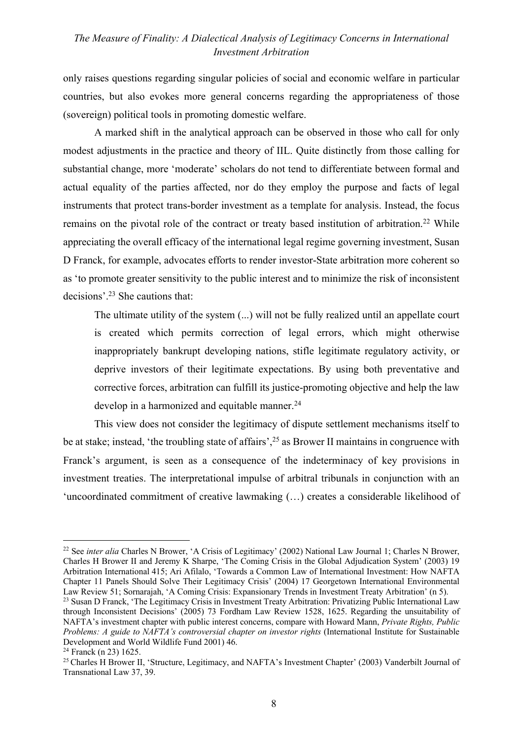only raises questions regarding singular policies of social and economic welfare in particular countries, but also evokes more general concerns regarding the appropriateness of those (sovereign) political tools in promoting domestic welfare.

A marked shift in the analytical approach can be observed in those who call for only modest adjustments in the practice and theory of IIL. Quite distinctly from those calling for substantial change, more 'moderate' scholars do not tend to differentiate between formal and actual equality of the parties affected, nor do they employ the purpose and facts of legal instruments that protect trans-border investment as a template for analysis. Instead, the focus remains on the pivotal role of the contract or treaty based institution of arbitration.<sup>22</sup> While appreciating the overall efficacy of the international legal regime governing investment, Susan D Franck, for example, advocates efforts to render investor-State arbitration more coherent so as 'to promote greater sensitivity to the public interest and to minimize the risk of inconsistent decisions'.23 She cautions that:

The ultimate utility of the system (...) will not be fully realized until an appellate court is created which permits correction of legal errors, which might otherwise inappropriately bankrupt developing nations, stifle legitimate regulatory activity, or deprive investors of their legitimate expectations. By using both preventative and corrective forces, arbitration can fulfill its justice-promoting objective and help the law develop in a harmonized and equitable manner.<sup>24</sup>

This view does not consider the legitimacy of dispute settlement mechanisms itself to be at stake; instead, 'the troubling state of affairs',<sup>25</sup> as Brower II maintains in congruence with Franck's argument, is seen as a consequence of the indeterminacy of key provisions in investment treaties. The interpretational impulse of arbitral tribunals in conjunction with an 'uncoordinated commitment of creative lawmaking (…) creates a considerable likelihood of

<sup>&</sup>lt;sup>22</sup> See *inter alia* Charles N Brower, 'A Crisis of Legitimacy' (2002) National Law Journal 1; Charles N Brower, Charles H Brower II and Jeremy K Sharpe, 'The Coming Crisis in the Global Adjudication System' (2003) 19 Arbitration International 415; Ari Afilalo, 'Towards a Common Law of International Investment: How NAFTA Chapter 11 Panels Should Solve Their Legitimacy Crisis' (2004) 17 Georgetown International Environmental Law Review 51; Sornarajah, 'A Coming Crisis: Expansionary Trends in Investment Treaty Arbitration' (n 5).

<sup>&</sup>lt;sup>23</sup> Susan D Franck, 'The Legitimacy Crisis in Investment Treaty Arbitration: Privatizing Public International Law through Inconsistent Decisions' (2005) 73 Fordham Law Review 1528, 1625. Regarding the unsuitability of NAFTA's investment chapter with public interest concerns, compare with Howard Mann, *Private Rights, Public Problems: A guide to NAFTA's controversial chapter on investor rights* (International Institute for Sustainable Development and World Wildlife Fund 2001) 46.<br><sup>24</sup> Franck (n 23) 1625.

<sup>&</sup>lt;sup>25</sup> Charles H Brower II, 'Structure, Legitimacy, and NAFTA's Investment Chapter' (2003) Vanderbilt Journal of Transnational Law 37, 39.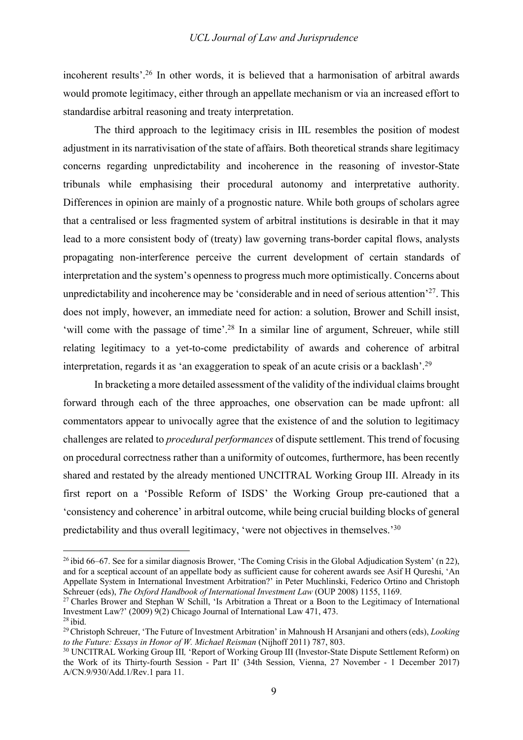incoherent results'.26 In other words, it is believed that a harmonisation of arbitral awards would promote legitimacy, either through an appellate mechanism or via an increased effort to standardise arbitral reasoning and treaty interpretation.

The third approach to the legitimacy crisis in IIL resembles the position of modest adjustment in its narrativisation of the state of affairs. Both theoretical strands share legitimacy concerns regarding unpredictability and incoherence in the reasoning of investor-State tribunals while emphasising their procedural autonomy and interpretative authority. Differences in opinion are mainly of a prognostic nature. While both groups of scholars agree that a centralised or less fragmented system of arbitral institutions is desirable in that it may lead to a more consistent body of (treaty) law governing trans-border capital flows, analysts propagating non-interference perceive the current development of certain standards of interpretation and the system's openness to progress much more optimistically. Concerns about unpredictability and incoherence may be 'considerable and in need of serious attention'<sup>27</sup>. This does not imply, however, an immediate need for action: a solution, Brower and Schill insist, 'will come with the passage of time'.<sup>28</sup> In a similar line of argument, Schreuer, while still relating legitimacy to a yet-to-come predictability of awards and coherence of arbitral interpretation, regards it as 'an exaggeration to speak of an acute crisis or a backlash'.29

In bracketing a more detailed assessment of the validity of the individual claims brought forward through each of the three approaches, one observation can be made upfront: all commentators appear to univocally agree that the existence of and the solution to legitimacy challenges are related to *procedural performances* of dispute settlement. This trend of focusing on procedural correctness rather than a uniformity of outcomes, furthermore, has been recently shared and restated by the already mentioned UNCITRAL Working Group III. Already in its first report on a 'Possible Reform of ISDS' the Working Group pre-cautioned that a 'consistency and coherence' in arbitral outcome, while being crucial building blocks of general predictability and thus overall legitimacy, 'were not objectives in themselves.'30

 $26$  ibid 66–67. See for a similar diagnosis Brower, 'The Coming Crisis in the Global Adjudication System' (n 22), and for a sceptical account of an appellate body as sufficient cause for coherent awards see Asif H Qureshi, 'An Appellate System in International Investment Arbitration?' in Peter Muchlinski, Federico Ortino and Christoph<br>Schreuer (eds), The Oxford Handbook of International Investment Law (OUP 2008) 1155, 1169.

<sup>&</sup>lt;sup>27</sup> Charles Brower and Stephan W Schill, 'Is Arbitration a Threat or a Boon to the Legitimacy of International Investment Law?' (2009) 9(2) Chicago Journal of International Law 471, 473.  $28$  ibid.

<sup>&</sup>lt;sup>29</sup> Christoph Schreuer, 'The Future of Investment Arbitration' in Mahnoush H Arsaniani and others (eds), *Looking to the Future: Essays in Honor of W. Michael Reisman* (Nijhoff 2011) 787, 803.

<sup>&</sup>lt;sup>30</sup> UNCITRAL Working Group III, 'Report of Working Group III (Investor-State Dispute Settlement Reform) on the Work of its Thirty-fourth Session - Part II' (34th Session, Vienna, 27 November - 1 December 2017) A/CN.9/930/Add.1/Rev.1 para 11.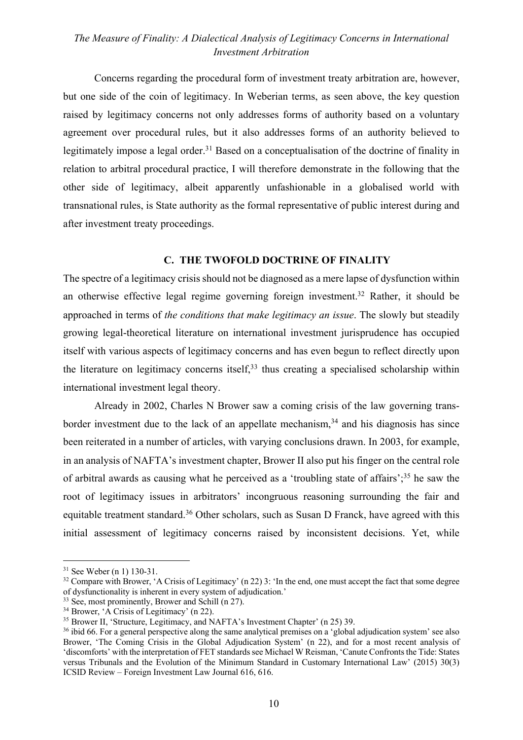Concerns regarding the procedural form of investment treaty arbitration are, however, but one side of the coin of legitimacy. In Weberian terms, as seen above, the key question raised by legitimacy concerns not only addresses forms of authority based on a voluntary agreement over procedural rules, but it also addresses forms of an authority believed to legitimately impose a legal order.<sup>31</sup> Based on a conceptualisation of the doctrine of finality in relation to arbitral procedural practice, I will therefore demonstrate in the following that the other side of legitimacy, albeit apparently unfashionable in a globalised world with transnational rules, is State authority as the formal representative of public interest during and after investment treaty proceedings.

### **C. THE TWOFOLD DOCTRINE OF FINALITY**

The spectre of a legitimacy crisis should not be diagnosed as a mere lapse of dysfunction within an otherwise effective legal regime governing foreign investment.32 Rather, it should be approached in terms of *the conditions that make legitimacy an issue*. The slowly but steadily growing legal-theoretical literature on international investment jurisprudence has occupied itself with various aspects of legitimacy concerns and has even begun to reflect directly upon the literature on legitimacy concerns itself,  $33$  thus creating a specialised scholarship within international investment legal theory.

Already in 2002, Charles N Brower saw a coming crisis of the law governing transborder investment due to the lack of an appellate mechanism,  $34$  and his diagnosis has since been reiterated in a number of articles, with varying conclusions drawn. In 2003, for example, in an analysis of NAFTA's investment chapter, Brower II also put his finger on the central role of arbitral awards as causing what he perceived as a 'troubling state of affairs';35 he saw the root of legitimacy issues in arbitrators' incongruous reasoning surrounding the fair and equitable treatment standard.<sup>36</sup> Other scholars, such as Susan D Franck, have agreed with this initial assessment of legitimacy concerns raised by inconsistent decisions. Yet, while

<sup>31</sup> See Weber (n 1) 130-31.

<sup>&</sup>lt;sup>32</sup> Compare with Brower, 'A Crisis of Legitimacy' (n 22) 3: 'In the end, one must accept the fact that some degree of dysfunctionality is inherent in every system of adjudication.'

<sup>&</sup>lt;sup>33</sup> See, most prominently, Brower and Schill (n 27).

<sup>&</sup>lt;sup>34</sup> Brower, 'A Crisis of Legitimacy' (n 22).

<sup>&</sup>lt;sup>35</sup> Brower II, 'Structure, Legitimacy, and NAFTA's Investment Chapter' (n 25) 39.

<sup>&</sup>lt;sup>36</sup> ibid 66. For a general perspective along the same analytical premises on a 'global adjudication system' see also Brower, 'The Coming Crisis in the Global Adjudication System' (n 22), and for a most recent analysis of 'discomforts' with the interpretation of FET standards see Michael W Reisman, 'Canute Confronts the Tide: States versus Tribunals and the Evolution of the Minimum Standard in Customary International Law' (2015) 30(3) ICSID Review – Foreign Investment Law Journal 616, 616.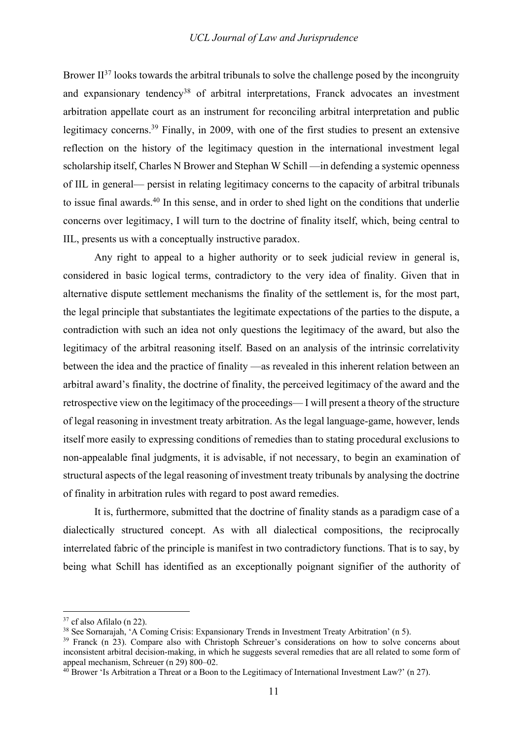Brower  $II^{37}$  looks towards the arbitral tribunals to solve the challenge posed by the incongruity and expansionary tendency<sup>38</sup> of arbitral interpretations, Franck advocates an investment arbitration appellate court as an instrument for reconciling arbitral interpretation and public legitimacy concerns.39 Finally, in 2009, with one of the first studies to present an extensive reflection on the history of the legitimacy question in the international investment legal scholarship itself, Charles N Brower and Stephan W Schill —in defending a systemic openness of IIL in general— persist in relating legitimacy concerns to the capacity of arbitral tribunals to issue final awards.<sup>40</sup> In this sense, and in order to shed light on the conditions that underlie concerns over legitimacy, I will turn to the doctrine of finality itself, which, being central to IIL, presents us with a conceptually instructive paradox.

Any right to appeal to a higher authority or to seek judicial review in general is, considered in basic logical terms, contradictory to the very idea of finality. Given that in alternative dispute settlement mechanisms the finality of the settlement is, for the most part, the legal principle that substantiates the legitimate expectations of the parties to the dispute, a contradiction with such an idea not only questions the legitimacy of the award, but also the legitimacy of the arbitral reasoning itself. Based on an analysis of the intrinsic correlativity between the idea and the practice of finality —as revealed in this inherent relation between an arbitral award's finality, the doctrine of finality, the perceived legitimacy of the award and the retrospective view on the legitimacy of the proceedings— I will present a theory of the structure of legal reasoning in investment treaty arbitration. As the legal language-game, however, lends itself more easily to expressing conditions of remedies than to stating procedural exclusions to non-appealable final judgments, it is advisable, if not necessary, to begin an examination of structural aspects of the legal reasoning of investment treaty tribunals by analysing the doctrine of finality in arbitration rules with regard to post award remedies.

It is, furthermore, submitted that the doctrine of finality stands as a paradigm case of a dialectically structured concept. As with all dialectical compositions, the reciprocally interrelated fabric of the principle is manifest in two contradictory functions. That is to say, by being what Schill has identified as an exceptionally poignant signifier of the authority of

 $37$  cf also Afilalo (n 22).

<sup>38</sup> See Sornarajah, 'A Coming Crisis: Expansionary Trends in Investment Treaty Arbitration' (n 5).

<sup>&</sup>lt;sup>39</sup> Franck (n 23). Compare also with Christoph Schreuer's considerations on how to solve concerns about inconsistent arbitral decision-making, in which he suggests several remedies that are all related to some form of appeal mechanism, Schreuer (n 29) 800–02.

 $40$  Brower 'Is Arbitration a Threat or a Boon to the Legitimacy of International Investment Law?' (n 27).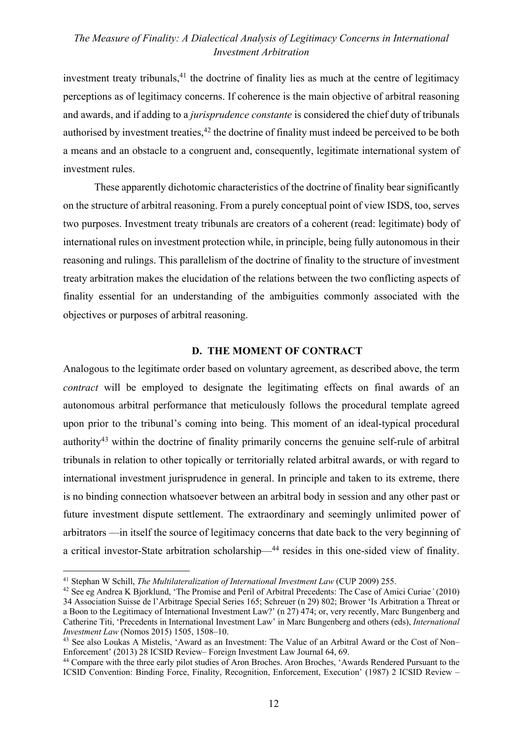investment treaty tribunals, $41$  the doctrine of finality lies as much at the centre of legitimacy perceptions as of legitimacy concerns. If coherence is the main objective of arbitral reasoning and awards, and if adding to a *jurisprudence constante* is considered the chief duty of tribunals authorised by investment treaties, $42$  the doctrine of finality must indeed be perceived to be both a means and an obstacle to a congruent and, consequently, legitimate international system of investment rules.

These apparently dichotomic characteristics of the doctrine of finality bear significantly on the structure of arbitral reasoning. From a purely conceptual point of view ISDS, too, serves two purposes. Investment treaty tribunals are creators of a coherent (read: legitimate) body of international rules on investment protection while, in principle, being fully autonomous in their reasoning and rulings. This parallelism of the doctrine of finality to the structure of investment treaty arbitration makes the elucidation of the relations between the two conflicting aspects of finality essential for an understanding of the ambiguities commonly associated with the objectives or purposes of arbitral reasoning.

#### **D. THE MOMENT OF CONTRACT**

Analogous to the legitimate order based on voluntary agreement, as described above, the term *contract* will be employed to designate the legitimating effects on final awards of an autonomous arbitral performance that meticulously follows the procedural template agreed upon prior to the tribunal's coming into being. This moment of an ideal-typical procedural authority43 within the doctrine of finality primarily concerns the genuine self-rule of arbitral tribunals in relation to other topically or territorially related arbitral awards, or with regard to international investment jurisprudence in general. In principle and taken to its extreme, there is no binding connection whatsoever between an arbitral body in session and any other past or future investment dispute settlement. The extraordinary and seemingly unlimited power of arbitrators —in itself the source of legitimacy concerns that date back to the very beginning of a critical investor-State arbitration scholarship—44 resides in this one-sided view of finality.

<sup>41</sup> Stephan W Schill, *The Multilateralization of International Investment Law* (CUP 2009) 255.

<sup>42</sup> See eg Andrea K Bjorklund, 'The Promise and Peril of Arbitral Precedents: The Case of Amici Curiae*'* (2010) 34 Association Suisse de l'Arbitrage Special Series 165; Schreuer (n 29) 802; Brower 'Is Arbitration a Threat or a Boon to the Legitimacy of International Investment Law?' (n 27) 474; or, very recently, Marc Bungenberg and Catherine Titi, 'Precedents in International Investment Law' in Marc Bungenberg and others (eds), *International Investment Law* (Nomos 2015) 1505, 1508–10.

<sup>43</sup> See also Loukas A Mistelis, 'Award as an Investment: The Value of an Arbitral Award or the Cost of Non– Enforcement' (2013) 28 ICSID Review– Foreign Investment Law Journal 64, 69.

<sup>44</sup> Compare with the three early pilot studies of Aron Broches. Aron Broches, 'Awards Rendered Pursuant to the ICSID Convention: Binding Force, Finality, Recognition, Enforcement, Execution' (1987) 2 ICSID Review –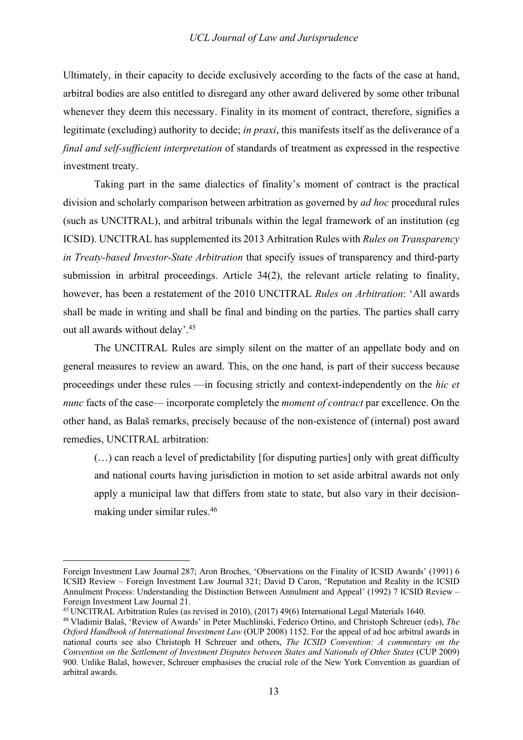Ultimately, in their capacity to decide exclusively according to the facts of the case at hand, arbitral bodies are also entitled to disregard any other award delivered by some other tribunal whenever they deem this necessary. Finality in its moment of contract, therefore, signifies a legitimate (excluding) authority to decide; *in praxi*, this manifests itself as the deliverance of a *final and self-sufficient interpretation* of standards of treatment as expressed in the respective investment treaty.

Taking part in the same dialectics of finality's moment of contract is the practical division and scholarly comparison between arbitration as governed by *ad hoc* procedural rules (such as UNCITRAL), and arbitral tribunals within the legal framework of an institution (eg ICSID). UNCITRAL has supplemented its 2013 Arbitration Rules with *Rules on Transparency in Treaty-based Investor-State Arbitration* that specify issues of transparency and third-party submission in arbitral proceedings. Article 34(2), the relevant article relating to finality, however, has been a restatement of the 2010 UNCITRAL *Rules on Arbitration*: 'All awards shall be made in writing and shall be final and binding on the parties. The parties shall carry out all awards without delay'. 45

The UNCITRAL Rules are simply silent on the matter of an appellate body and on general measures to review an award. This, on the one hand, is part of their success because proceedings under these rules —in focusing strictly and context-independently on the *hic et nunc* facts of the case— incorporate completely the *moment of contract* par excellence. On the other hand, as Balaš remarks, precisely because of the non-existence of (internal) post award remedies, UNCITRAL arbitration:

(…) can reach a level of predictability [for disputing parties] only with great difficulty and national courts having jurisdiction in motion to set aside arbitral awards not only apply a municipal law that differs from state to state, but also vary in their decisionmaking under similar rules.46

<sup>45</sup> UNCITRAL Arbitration Rules (as revised in 2010), (2017) 49(6) International Legal Materials 1640.

Foreign Investment Law Journal 287; Aron Broches, 'Observations on the Finality of ICSID Awards' (1991) 6 ICSID Review – Foreign Investment Law Journal 321; David D Caron, 'Reputation and Reality in the ICSID Annulment Process: Understanding the Distinction Between Annulment and Appeal' (1992) 7 ICSID Review – Foreign Investment Law Journal 21.

<sup>46</sup> Vladimir Balaš, 'Review of Awards' in Peter Muchlinski, Federico Ortino, and Christoph Schreuer (eds), *The Oxford Handbook of International Investment Law* (OUP 2008) 1152. For the appeal of ad hoc arbitral awards in national courts see also Christoph H Schreuer and others, *The ICSID Convention: A commentary on the Convention on the Settlement of Investment Disputes between States and Nationals of Other States* (CUP 2009) 900. Unlike Balaš, however, Schreuer emphasises the crucial role of the New York Convention as guardian of arbitral awards.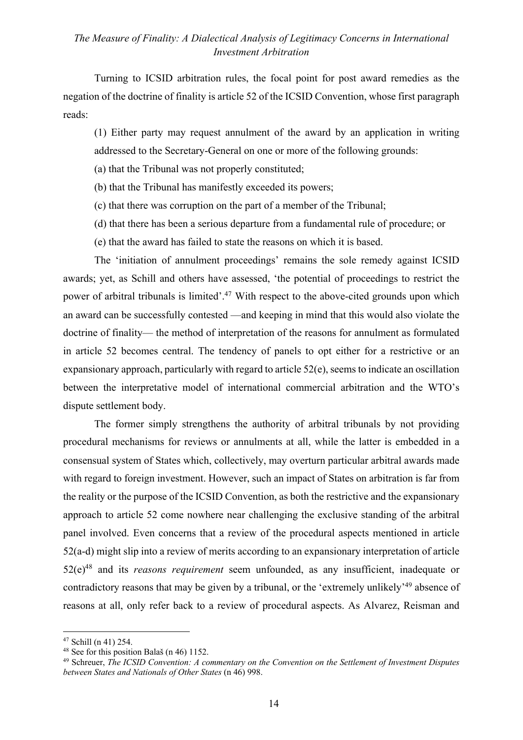Turning to ICSID arbitration rules, the focal point for post award remedies as the negation of the doctrine of finality is article 52 of the ICSID Convention, whose first paragraph reads:

(1) Either party may request annulment of the award by an application in writing addressed to the Secretary-General on one or more of the following grounds:

- (a) that the Tribunal was not properly constituted;
- (b) that the Tribunal has manifestly exceeded its powers;
- (c) that there was corruption on the part of a member of the Tribunal;
- (d) that there has been a serious departure from a fundamental rule of procedure; or
- (e) that the award has failed to state the reasons on which it is based.

The 'initiation of annulment proceedings' remains the sole remedy against ICSID awards; yet, as Schill and others have assessed, 'the potential of proceedings to restrict the power of arbitral tribunals is limited'.47 With respect to the above-cited grounds upon which an award can be successfully contested —and keeping in mind that this would also violate the doctrine of finality— the method of interpretation of the reasons for annulment as formulated in article 52 becomes central. The tendency of panels to opt either for a restrictive or an expansionary approach, particularly with regard to article 52(e), seems to indicate an oscillation between the interpretative model of international commercial arbitration and the WTO's dispute settlement body.

The former simply strengthens the authority of arbitral tribunals by not providing procedural mechanisms for reviews or annulments at all, while the latter is embedded in a consensual system of States which, collectively, may overturn particular arbitral awards made with regard to foreign investment. However, such an impact of States on arbitration is far from the reality or the purpose of the ICSID Convention, as both the restrictive and the expansionary approach to article 52 come nowhere near challenging the exclusive standing of the arbitral panel involved. Even concerns that a review of the procedural aspects mentioned in article 52(a-d) might slip into a review of merits according to an expansionary interpretation of article 52(e)48 and its *reasons requirement* seem unfounded, as any insufficient, inadequate or contradictory reasons that may be given by a tribunal, or the 'extremely unlikely'49 absence of reasons at all, only refer back to a review of procedural aspects. As Alvarez, Reisman and

<sup>47</sup> Schill (n 41) 254.

<sup>48</sup> See for this position Balaš (n 46) 1152.

<sup>49</sup> Schreuer, *The ICSID Convention: A commentary on the Convention on the Settlement of Investment Disputes between States and Nationals of Other States* (n 46) 998.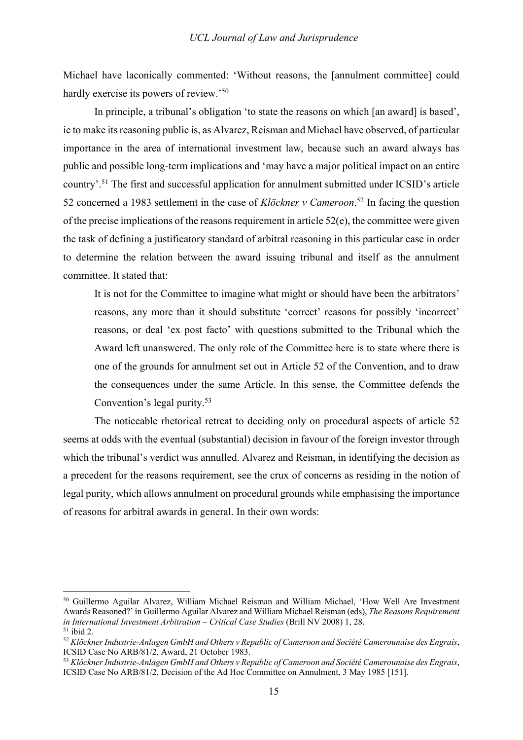Michael have laconically commented: 'Without reasons, the [annulment committee] could hardly exercise its powers of review.<sup>50</sup>

In principle, a tribunal's obligation 'to state the reasons on which [an award] is based', ie to make its reasoning public is, as Alvarez, Reisman and Michael have observed, of particular importance in the area of international investment law, because such an award always has public and possible long-term implications and 'may have a major political impact on an entire country'.51 The first and successful application for annulment submitted under ICSID's article 52 concerned a 1983 settlement in the case of *Klöckner v Cameroon*.<sup>52</sup> In facing the question of the precise implications of the reasons requirement in article 52(e), the committee were given the task of defining a justificatory standard of arbitral reasoning in this particular case in order to determine the relation between the award issuing tribunal and itself as the annulment committee. It stated that:

It is not for the Committee to imagine what might or should have been the arbitrators' reasons, any more than it should substitute 'correct' reasons for possibly 'incorrect' reasons, or deal 'ex post facto' with questions submitted to the Tribunal which the Award left unanswered. The only role of the Committee here is to state where there is one of the grounds for annulment set out in Article 52 of the Convention, and to draw the consequences under the same Article. In this sense, the Committee defends the Convention's legal purity.53

The noticeable rhetorical retreat to deciding only on procedural aspects of article 52 seems at odds with the eventual (substantial) decision in favour of the foreign investor through which the tribunal's verdict was annulled. Alvarez and Reisman, in identifying the decision as a precedent for the reasons requirement, see the crux of concerns as residing in the notion of legal purity, which allows annulment on procedural grounds while emphasising the importance of reasons for arbitral awards in general. In their own words:

<sup>50</sup> Guillermo Aguilar Alvarez, William Michael Reisman and William Michael, 'How Well Are Investment Awards Reasoned?' in Guillermo Aguilar Alvarez and William Michael Reisman (eds), *The Reasons Requirement in International Investment Arbitration – Critical Case Studies* (Brill NV 2008) 1, 28.  $51$  ibid 2.

<sup>52</sup> *Klöckner Industrie-Anlagen GmbH and Others v Republic of Cameroon and Société Camerounaise des Engrais*, ICSID Case No ARB/81/2, Award, 21 October 1983.

<sup>53</sup> *Klöckner Industrie-Anlagen GmbH and Others v Republic of Cameroon and Société Camerounaise des Engrais*, ICSID Case No ARB/81/2, Decision of the Ad Hoc Committee on Annulment, 3 May 1985 [151].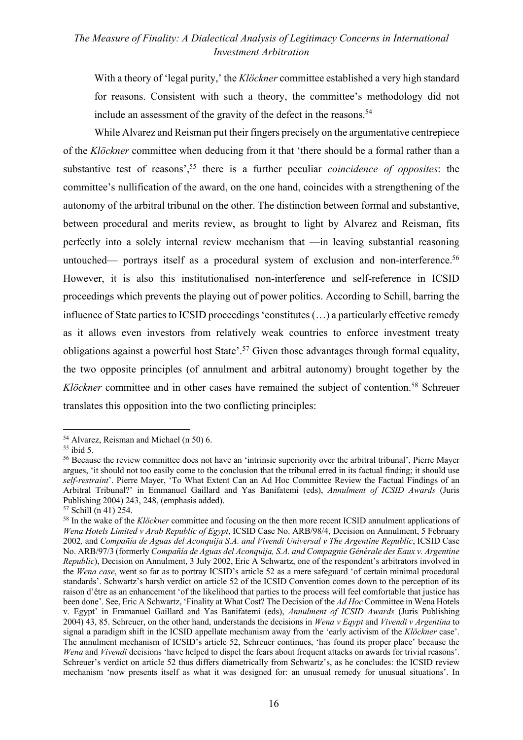With a theory of 'legal purity,' the *Klöckner* committee established a very high standard for reasons. Consistent with such a theory, the committee's methodology did not include an assessment of the gravity of the defect in the reasons.<sup>54</sup>

While Alvarez and Reisman put their fingers precisely on the argumentative centrepiece of the *Klöckner* committee when deducing from it that 'there should be a formal rather than a substantive test of reasons',55 there is a further peculiar *coincidence of opposites*: the committee's nullification of the award, on the one hand, coincides with a strengthening of the autonomy of the arbitral tribunal on the other. The distinction between formal and substantive, between procedural and merits review, as brought to light by Alvarez and Reisman, fits perfectly into a solely internal review mechanism that —in leaving substantial reasoning untouched— portrays itself as a procedural system of exclusion and non-interference.<sup>56</sup> However, it is also this institutionalised non-interference and self-reference in ICSID proceedings which prevents the playing out of power politics. According to Schill, barring the influence of State parties to ICSID proceedings 'constitutes (…) a particularly effective remedy as it allows even investors from relatively weak countries to enforce investment treaty obligations against a powerful host State'.57 Given those advantages through formal equality, the two opposite principles (of annulment and arbitral autonomy) brought together by the *Klöckner* committee and in other cases have remained the subject of contention.<sup>58</sup> Schreuer translates this opposition into the two conflicting principles:

<sup>54</sup> Alvarez, Reisman and Michael (n 50) 6.

 $55$  ibid 5.

<sup>&</sup>lt;sup>56</sup> Because the review committee does not have an 'intrinsic superiority over the arbitral tribunal', Pierre Mayer argues, 'it should not too easily come to the conclusion that the tribunal erred in its factual finding; it should use *self-restraint*'. Pierre Mayer, 'To What Extent Can an Ad Hoc Committee Review the Factual Findings of an Arbitral Tribunal?' in Emmanuel Gaillard and Yas Banifatemi (eds), *Annulment of ICSID Awards* (Juris Publishing 2004) 243, 248, (emphasis added).

<sup>57</sup> Schill (n 41) 254.

<sup>58</sup> In the wake of the *Klöckner* committee and focusing on the then more recent ICSID annulment applications of *Wena Hotels Limited v Arab Republic of Egypt*, ICSID Case No. ARB/98/4, Decision on Annulment, 5 February 2002*,* and *Compañía de Aguas del Aconquija S.A. and Vivendi Universal v The Argentine Republic*, ICSID Case No. ARB/97/3 (formerly *Compañía de Aguas del Aconquija, S.A. and Compagnie Générale des Eaux v. Argentine Republic*), Decision on Annulment, 3 July 2002, Eric A Schwartz, one of the respondent's arbitrators involved in the *Wena case*, went so far as to portray ICSID's article 52 as a mere safeguard 'of certain minimal procedural standards'. Schwartz's harsh verdict on article 52 of the ICSID Convention comes down to the perception of its raison d'être as an enhancement 'of the likelihood that parties to the process will feel comfortable that justice has been done'. See, Eric A Schwartz, 'Finality at What Cost? The Decision of the *Ad Hoc* Committee in Wena Hotels v. Egypt' in Emmanuel Gaillard and Yas Banifatemi (eds), *Annulment of ICSID Awards* (Juris Publishing 2004) 43, 85. Schreuer, on the other hand, understands the decisions in *Wena v Eqypt* and *Vivendi v Argentina* to signal a paradigm shift in the ICSID appellate mechanism away from the 'early activism of the *Klöckner* case'. The annulment mechanism of ICSID's article 52, Schreuer continues, 'has found its proper place' because the *Wena* and *Vivendi* decisions 'have helped to dispel the fears about frequent attacks on awards for trivial reasons'. Schreuer's verdict on article 52 thus differs diametrically from Schwartz's, as he concludes: the ICSID review mechanism 'now presents itself as what it was designed for: an unusual remedy for unusual situations'. In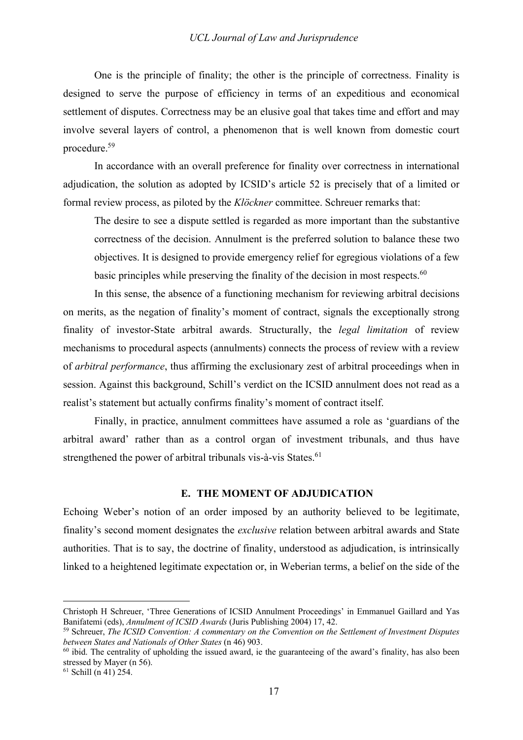One is the principle of finality; the other is the principle of correctness. Finality is designed to serve the purpose of efficiency in terms of an expeditious and economical settlement of disputes. Correctness may be an elusive goal that takes time and effort and may involve several layers of control, a phenomenon that is well known from domestic court procedure.59

In accordance with an overall preference for finality over correctness in international adjudication, the solution as adopted by ICSID's article 52 is precisely that of a limited or formal review process, as piloted by the *Klöckner* committee. Schreuer remarks that:

The desire to see a dispute settled is regarded as more important than the substantive correctness of the decision. Annulment is the preferred solution to balance these two objectives. It is designed to provide emergency relief for egregious violations of a few basic principles while preserving the finality of the decision in most respects.<sup>60</sup>

In this sense, the absence of a functioning mechanism for reviewing arbitral decisions on merits, as the negation of finality's moment of contract, signals the exceptionally strong finality of investor-State arbitral awards. Structurally, the *legal limitation* of review mechanisms to procedural aspects (annulments) connects the process of review with a review of *arbitral performance*, thus affirming the exclusionary zest of arbitral proceedings when in session. Against this background, Schill's verdict on the ICSID annulment does not read as a realist's statement but actually confirms finality's moment of contract itself.

Finally, in practice, annulment committees have assumed a role as 'guardians of the arbitral award' rather than as a control organ of investment tribunals, and thus have strengthened the power of arbitral tribunals vis-à-vis States.<sup>61</sup>

#### **E. THE MOMENT OF ADJUDICATION**

Echoing Weber's notion of an order imposed by an authority believed to be legitimate, finality's second moment designates the *exclusive* relation between arbitral awards and State authorities. That is to say, the doctrine of finality, understood as adjudication, is intrinsically linked to a heightened legitimate expectation or, in Weberian terms, a belief on the side of the

 $61$  Schill (n 41) 254.

Christoph H Schreuer, 'Three Generations of ICSID Annulment Proceedings' in Emmanuel Gaillard and Yas Banifatemi (eds), *Annulment of ICSID Awards* (Juris Publishing 2004) 17, 42.

<sup>59</sup> Schreuer, *The ICSID Convention: A commentary on the Convention on the Settlement of Investment Disputes between States and Nationals of Other States* (n 46) 903.

 $60$  ibid. The centrality of upholding the issued award, ie the guaranteeing of the award's finality, has also been stressed by Mayer (n 56).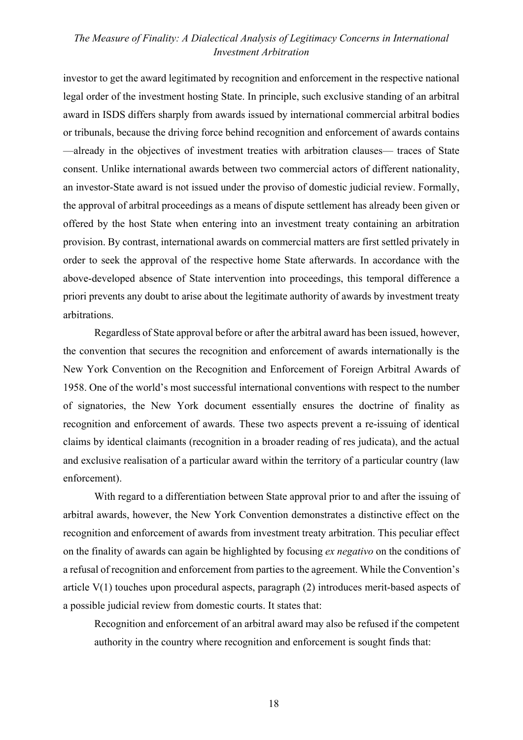investor to get the award legitimated by recognition and enforcement in the respective national legal order of the investment hosting State. In principle, such exclusive standing of an arbitral award in ISDS differs sharply from awards issued by international commercial arbitral bodies or tribunals, because the driving force behind recognition and enforcement of awards contains —already in the objectives of investment treaties with arbitration clauses— traces of State consent. Unlike international awards between two commercial actors of different nationality, an investor-State award is not issued under the proviso of domestic judicial review. Formally, the approval of arbitral proceedings as a means of dispute settlement has already been given or offered by the host State when entering into an investment treaty containing an arbitration provision. By contrast, international awards on commercial matters are first settled privately in order to seek the approval of the respective home State afterwards. In accordance with the above-developed absence of State intervention into proceedings, this temporal difference a priori prevents any doubt to arise about the legitimate authority of awards by investment treaty arbitrations.

Regardless of State approval before or after the arbitral award has been issued, however, the convention that secures the recognition and enforcement of awards internationally is the New York Convention on the Recognition and Enforcement of Foreign Arbitral Awards of 1958. One of the world's most successful international conventions with respect to the number of signatories, the New York document essentially ensures the doctrine of finality as recognition and enforcement of awards. These two aspects prevent a re-issuing of identical claims by identical claimants (recognition in a broader reading of res judicata), and the actual and exclusive realisation of a particular award within the territory of a particular country (law enforcement).

With regard to a differentiation between State approval prior to and after the issuing of arbitral awards, however, the New York Convention demonstrates a distinctive effect on the recognition and enforcement of awards from investment treaty arbitration. This peculiar effect on the finality of awards can again be highlighted by focusing *ex negativo* on the conditions of a refusal of recognition and enforcement from parties to the agreement. While the Convention's article V(1) touches upon procedural aspects, paragraph (2) introduces merit-based aspects of a possible judicial review from domestic courts. It states that:

Recognition and enforcement of an arbitral award may also be refused if the competent authority in the country where recognition and enforcement is sought finds that: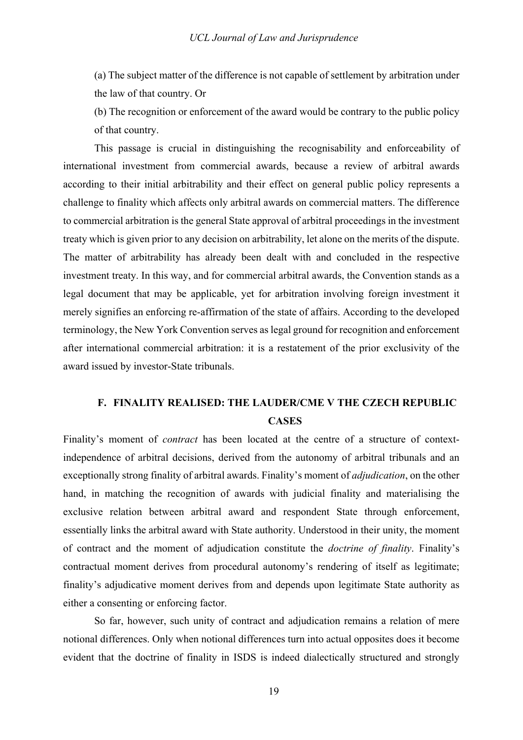(a) The subject matter of the difference is not capable of settlement by arbitration under the law of that country. Or

(b) The recognition or enforcement of the award would be contrary to the public policy of that country.

This passage is crucial in distinguishing the recognisability and enforceability of international investment from commercial awards, because a review of arbitral awards according to their initial arbitrability and their effect on general public policy represents a challenge to finality which affects only arbitral awards on commercial matters. The difference to commercial arbitration is the general State approval of arbitral proceedings in the investment treaty which is given prior to any decision on arbitrability, let alone on the merits of the dispute. The matter of arbitrability has already been dealt with and concluded in the respective investment treaty. In this way, and for commercial arbitral awards, the Convention stands as a legal document that may be applicable, yet for arbitration involving foreign investment it merely signifies an enforcing re-affirmation of the state of affairs. According to the developed terminology, the New York Convention serves as legal ground for recognition and enforcement after international commercial arbitration: it is a restatement of the prior exclusivity of the award issued by investor-State tribunals.

# **F. FINALITY REALISED: THE LAUDER/CME V THE CZECH REPUBLIC CASES**

Finality's moment of *contract* has been located at the centre of a structure of contextindependence of arbitral decisions, derived from the autonomy of arbitral tribunals and an exceptionally strong finality of arbitral awards. Finality's moment of *adjudication*, on the other hand, in matching the recognition of awards with judicial finality and materialising the exclusive relation between arbitral award and respondent State through enforcement, essentially links the arbitral award with State authority. Understood in their unity, the moment of contract and the moment of adjudication constitute the *doctrine of finality*. Finality's contractual moment derives from procedural autonomy's rendering of itself as legitimate; finality's adjudicative moment derives from and depends upon legitimate State authority as either a consenting or enforcing factor.

So far, however, such unity of contract and adjudication remains a relation of mere notional differences. Only when notional differences turn into actual opposites does it become evident that the doctrine of finality in ISDS is indeed dialectically structured and strongly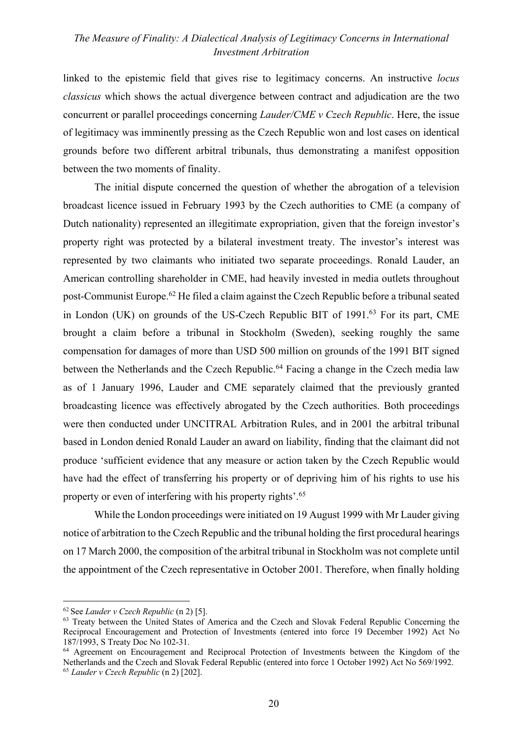linked to the epistemic field that gives rise to legitimacy concerns. An instructive *locus classicus* which shows the actual divergence between contract and adjudication are the two concurrent or parallel proceedings concerning *Lauder/CME v Czech Republic*. Here, the issue of legitimacy was imminently pressing as the Czech Republic won and lost cases on identical grounds before two different arbitral tribunals, thus demonstrating a manifest opposition between the two moments of finality.

The initial dispute concerned the question of whether the abrogation of a television broadcast licence issued in February 1993 by the Czech authorities to CME (a company of Dutch nationality) represented an illegitimate expropriation, given that the foreign investor's property right was protected by a bilateral investment treaty. The investor's interest was represented by two claimants who initiated two separate proceedings. Ronald Lauder, an American controlling shareholder in CME, had heavily invested in media outlets throughout post-Communist Europe.62 He filed a claim against the Czech Republic before a tribunal seated in London (UK) on grounds of the US-Czech Republic BIT of 1991.<sup>63</sup> For its part, CME brought a claim before a tribunal in Stockholm (Sweden), seeking roughly the same compensation for damages of more than USD 500 million on grounds of the 1991 BIT signed between the Netherlands and the Czech Republic.<sup>64</sup> Facing a change in the Czech media law as of 1 January 1996, Lauder and CME separately claimed that the previously granted broadcasting licence was effectively abrogated by the Czech authorities. Both proceedings were then conducted under UNCITRAL Arbitration Rules, and in 2001 the arbitral tribunal based in London denied Ronald Lauder an award on liability, finding that the claimant did not produce 'sufficient evidence that any measure or action taken by the Czech Republic would have had the effect of transferring his property or of depriving him of his rights to use his property or even of interfering with his property rights'.65

While the London proceedings were initiated on 19 August 1999 with Mr Lauder giving notice of arbitration to the Czech Republic and the tribunal holding the first procedural hearings on 17 March 2000, the composition of the arbitral tribunal in Stockholm was not complete until the appointment of the Czech representative in October 2001. Therefore, when finally holding

<sup>62</sup> See *Lauder v Czech Republic* (n 2) [5].

<sup>&</sup>lt;sup>63</sup> Treaty between the United States of America and the Czech and Slovak Federal Republic Concerning the Reciprocal Encouragement and Protection of Investments (entered into force 19 December 1992) Act No 187/1993, S Treaty Doc No 102-31.

<sup>&</sup>lt;sup>64</sup> Agreement on Encouragement and Reciprocal Protection of Investments between the Kingdom of the Netherlands and the Czech and Slovak Federal Republic (entered into force 1 October 1992) Act No 569/1992. <sup>65</sup> *Lauder v Czech Republic* (n 2) [202].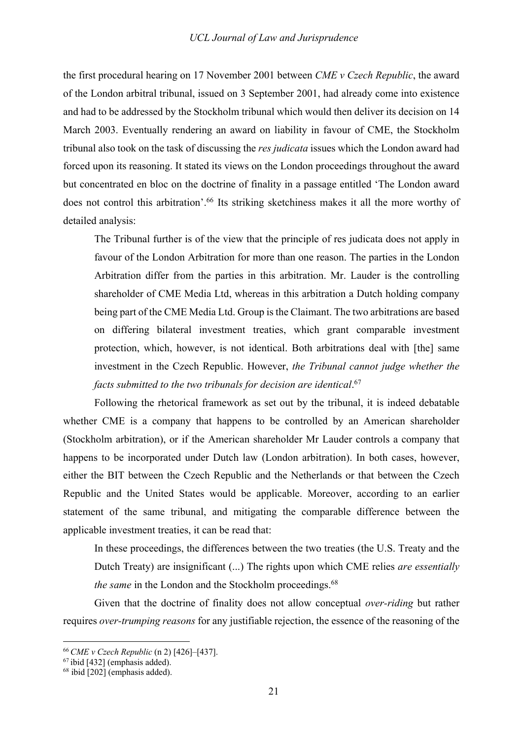the first procedural hearing on 17 November 2001 between *CME v Czech Republic*, the award of the London arbitral tribunal, issued on 3 September 2001, had already come into existence and had to be addressed by the Stockholm tribunal which would then deliver its decision on 14 March 2003. Eventually rendering an award on liability in favour of CME, the Stockholm tribunal also took on the task of discussing the *res judicata* issues which the London award had forced upon its reasoning. It stated its views on the London proceedings throughout the award but concentrated en bloc on the doctrine of finality in a passage entitled 'The London award does not control this arbitration'.<sup>66</sup> Its striking sketchiness makes it all the more worthy of detailed analysis:

The Tribunal further is of the view that the principle of res judicata does not apply in favour of the London Arbitration for more than one reason. The parties in the London Arbitration differ from the parties in this arbitration. Mr. Lauder is the controlling shareholder of CME Media Ltd, whereas in this arbitration a Dutch holding company being part of the CME Media Ltd. Group is the Claimant. The two arbitrations are based on differing bilateral investment treaties, which grant comparable investment protection, which, however, is not identical. Both arbitrations deal with [the] same investment in the Czech Republic. However, *the Tribunal cannot judge whether the facts submitted to the two tribunals for decision are identical*. 67

Following the rhetorical framework as set out by the tribunal, it is indeed debatable whether CME is a company that happens to be controlled by an American shareholder (Stockholm arbitration), or if the American shareholder Mr Lauder controls a company that happens to be incorporated under Dutch law (London arbitration). In both cases, however, either the BIT between the Czech Republic and the Netherlands or that between the Czech Republic and the United States would be applicable. Moreover, according to an earlier statement of the same tribunal, and mitigating the comparable difference between the applicable investment treaties, it can be read that:

In these proceedings, the differences between the two treaties (the U.S. Treaty and the Dutch Treaty) are insignificant (...) The rights upon which CME relies *are essentially the same* in the London and the Stockholm proceedings.<sup>68</sup>

Given that the doctrine of finality does not allow conceptual *over-riding* but rather requires *over-trumping reasons* for any justifiable rejection, the essence of the reasoning of the

<sup>66</sup> *CME v Czech Republic* (n 2) [426]–[437].

<sup>67</sup> ibid [432] (emphasis added).

 $68$  ibid  $\overline{[202]}$  (emphasis added).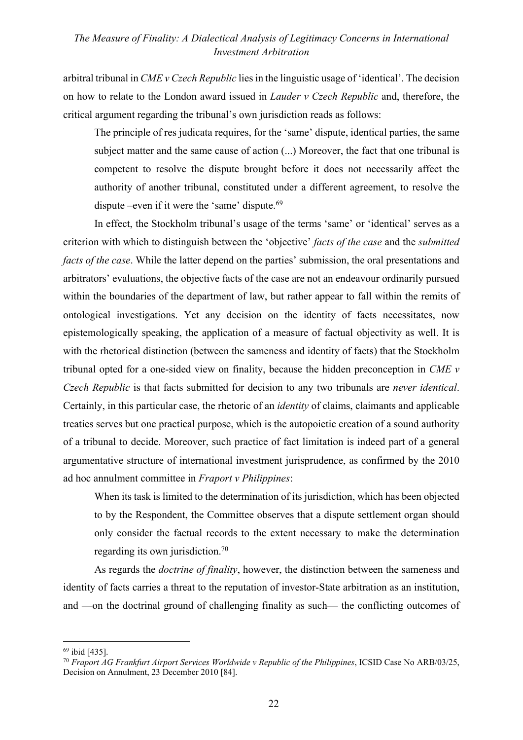arbitral tribunal in *CME v Czech Republic* lies in the linguistic usage of 'identical'. The decision on how to relate to the London award issued in *Lauder v Czech Republic* and, therefore, the critical argument regarding the tribunal's own jurisdiction reads as follows:

The principle of res judicata requires, for the 'same' dispute, identical parties, the same subject matter and the same cause of action (...) Moreover, the fact that one tribunal is competent to resolve the dispute brought before it does not necessarily affect the authority of another tribunal, constituted under a different agreement, to resolve the dispute –even if it were the 'same' dispute. $69$ 

In effect, the Stockholm tribunal's usage of the terms 'same' or 'identical' serves as a criterion with which to distinguish between the 'objective' *facts of the case* and the *submitted facts of the case*. While the latter depend on the parties' submission, the oral presentations and arbitrators' evaluations, the objective facts of the case are not an endeavour ordinarily pursued within the boundaries of the department of law, but rather appear to fall within the remits of ontological investigations. Yet any decision on the identity of facts necessitates, now epistemologically speaking, the application of a measure of factual objectivity as well. It is with the rhetorical distinction (between the sameness and identity of facts) that the Stockholm tribunal opted for a one-sided view on finality, because the hidden preconception in *CME v Czech Republic* is that facts submitted for decision to any two tribunals are *never identical*. Certainly, in this particular case, the rhetoric of an *identity* of claims, claimants and applicable treaties serves but one practical purpose, which is the autopoietic creation of a sound authority of a tribunal to decide. Moreover, such practice of fact limitation is indeed part of a general argumentative structure of international investment jurisprudence, as confirmed by the 2010 ad hoc annulment committee in *Fraport v Philippines*:

When its task is limited to the determination of its jurisdiction, which has been objected to by the Respondent, the Committee observes that a dispute settlement organ should only consider the factual records to the extent necessary to make the determination regarding its own jurisdiction.70

As regards the *doctrine of finality*, however, the distinction between the sameness and identity of facts carries a threat to the reputation of investor-State arbitration as an institution, and —on the doctrinal ground of challenging finality as such— the conflicting outcomes of

<sup>69</sup> ibid [435].

<sup>70</sup> *Fraport AG Frankfurt Airport Services Worldwide v Republic of the Philippines*, ICSID Case No ARB/03/25, Decision on Annulment, 23 December 2010 [84].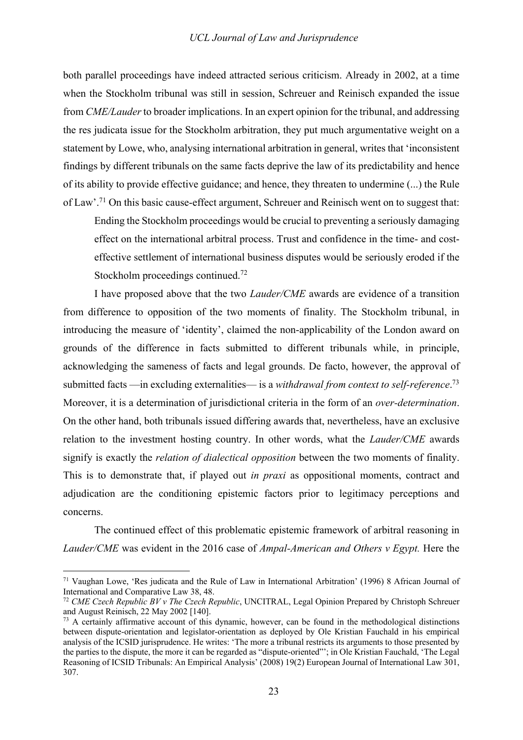both parallel proceedings have indeed attracted serious criticism. Already in 2002, at a time when the Stockholm tribunal was still in session, Schreuer and Reinisch expanded the issue from *CME/Lauder* to broader implications. In an expert opinion for the tribunal, and addressing the res judicata issue for the Stockholm arbitration, they put much argumentative weight on a statement by Lowe, who, analysing international arbitration in general, writes that 'inconsistent findings by different tribunals on the same facts deprive the law of its predictability and hence of its ability to provide effective guidance; and hence, they threaten to undermine (...) the Rule of Law'.71 On this basic cause-effect argument, Schreuer and Reinisch went on to suggest that:

Ending the Stockholm proceedings would be crucial to preventing a seriously damaging effect on the international arbitral process. Trust and confidence in the time- and costeffective settlement of international business disputes would be seriously eroded if the Stockholm proceedings continued.<sup>72</sup>

I have proposed above that the two *Lauder/CME* awards are evidence of a transition from difference to opposition of the two moments of finality. The Stockholm tribunal, in introducing the measure of 'identity', claimed the non-applicability of the London award on grounds of the difference in facts submitted to different tribunals while, in principle, acknowledging the sameness of facts and legal grounds. De facto, however, the approval of submitted facts —in excluding externalities— is a *withdrawal from context to self-reference*. 73 Moreover, it is a determination of jurisdictional criteria in the form of an *over-determination*. On the other hand, both tribunals issued differing awards that, nevertheless, have an exclusive relation to the investment hosting country. In other words, what the *Lauder/CME* awards signify is exactly the *relation of dialectical opposition* between the two moments of finality. This is to demonstrate that, if played out *in praxi* as oppositional moments, contract and adjudication are the conditioning epistemic factors prior to legitimacy perceptions and concerns.

The continued effect of this problematic epistemic framework of arbitral reasoning in *Lauder/CME* was evident in the 2016 case of *Ampal-American and Others v Egypt.* Here the

<sup>71</sup> Vaughan Lowe, 'Res judicata and the Rule of Law in International Arbitration' (1996) 8 African Journal of International and Comparative Law 38, 48.

<sup>72</sup> *CME Czech Republic BV v The Czech Republic*, UNCITRAL, Legal Opinion Prepared by Christoph Schreuer and August Reinisch, 22 May 2002 [140].

<sup>73</sup> A certainly affirmative account of this dynamic, however, can be found in the methodological distinctions between dispute-orientation and legislator-orientation as deployed by Ole Kristian Fauchald in his empirical analysis of the ICSID jurisprudence. He writes: 'The more a tribunal restricts its arguments to those presented by the parties to the dispute, the more it can be regarded as "dispute-oriented"'; in Ole Kristian Fauchald, 'The Legal Reasoning of ICSID Tribunals: An Empirical Analysis' (2008) 19(2) European Journal of International Law 301, 307.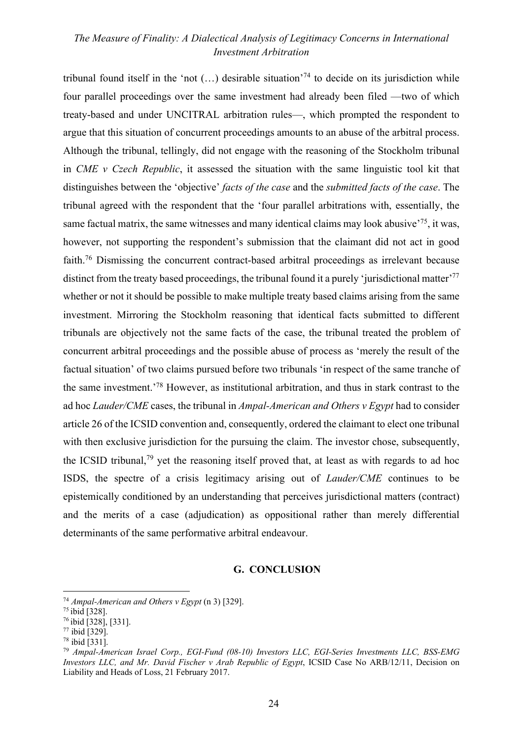tribunal found itself in the 'not  $(...)$  desirable situation'<sup>74</sup> to decide on its jurisdiction while four parallel proceedings over the same investment had already been filed —two of which treaty-based and under UNCITRAL arbitration rules—, which prompted the respondent to argue that this situation of concurrent proceedings amounts to an abuse of the arbitral process. Although the tribunal, tellingly, did not engage with the reasoning of the Stockholm tribunal in *CME v Czech Republic*, it assessed the situation with the same linguistic tool kit that distinguishes between the 'objective' *facts of the case* and the *submitted facts of the case*. The tribunal agreed with the respondent that the 'four parallel arbitrations with, essentially, the same factual matrix, the same witnesses and many identical claims may look abusive $^{75}$ , it was, however, not supporting the respondent's submission that the claimant did not act in good faith.76 Dismissing the concurrent contract-based arbitral proceedings as irrelevant because distinct from the treaty based proceedings, the tribunal found it a purely 'jurisdictional matter'<sup>77</sup> whether or not it should be possible to make multiple treaty based claims arising from the same investment. Mirroring the Stockholm reasoning that identical facts submitted to different tribunals are objectively not the same facts of the case, the tribunal treated the problem of concurrent arbitral proceedings and the possible abuse of process as 'merely the result of the factual situation' of two claims pursued before two tribunals 'in respect of the same tranche of the same investment.'78 However, as institutional arbitration, and thus in stark contrast to the ad hoc *Lauder/CME* cases, the tribunal in *Ampal-American and Others v Egypt* had to consider article 26 of the ICSID convention and, consequently, ordered the claimant to elect one tribunal with then exclusive jurisdiction for the pursuing the claim. The investor chose, subsequently, the ICSID tribunal,79 yet the reasoning itself proved that, at least as with regards to ad hoc ISDS, the spectre of a crisis legitimacy arising out of *Lauder/CME* continues to be epistemically conditioned by an understanding that perceives jurisdictional matters (contract) and the merits of a case (adjudication) as oppositional rather than merely differential determinants of the same performative arbitral endeavour.

#### **G. CONCLUSION**

<sup>74</sup> *Ampal-American and Others v Egypt* (n 3) [329].

<sup>75</sup> ibid [328].

<sup>76</sup> ibid [328], [331].

 $77$  ibid  $\overline{[329]}$ .

 $78$  ibid  $\overline{[331]}$ .

<sup>79</sup> *Ampal-American Israel Corp., EGI-Fund (08-10) Investors LLC, EGI-Series Investments LLC, BSS-EMG Investors LLC, and Mr. David Fischer v Arab Republic of Egypt*, ICSID Case No ARB/12/11, Decision on Liability and Heads of Loss, 21 February 2017.